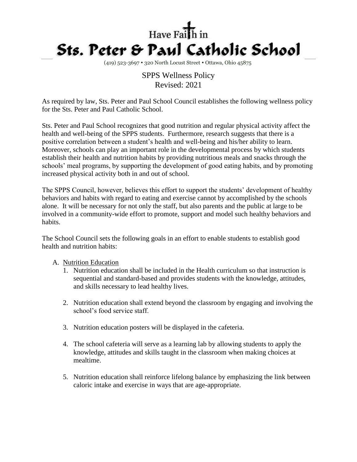

(419) 523-3697 320 North Locust Street Ottawa, Ohio 45875

## SPPS Wellness Policy Revised: 2021

As required by law, Sts. Peter and Paul School Council establishes the following wellness policy for the Sts. Peter and Paul Catholic School.

Sts. Peter and Paul School recognizes that good nutrition and regular physical activity affect the health and well-being of the SPPS students. Furthermore, research suggests that there is a positive correlation between a student's health and well-being and his/her ability to learn. Moreover, schools can play an important role in the developmental process by which students establish their health and nutrition habits by providing nutritious meals and snacks through the schools' meal programs, by supporting the development of good eating habits, and by promoting increased physical activity both in and out of school.

The SPPS Council, however, believes this effort to support the students' development of healthy behaviors and habits with regard to eating and exercise cannot by accomplished by the schools alone. It will be necessary for not only the staff, but also parents and the public at large to be involved in a community-wide effort to promote, support and model such healthy behaviors and habits.

The School Council sets the following goals in an effort to enable students to establish good health and nutrition habits:

## A. Nutrition Education

- 1. Nutrition education shall be included in the Health curriculum so that instruction is sequential and standard-based and provides students with the knowledge, attitudes, and skills necessary to lead healthy lives.
- 2. Nutrition education shall extend beyond the classroom by engaging and involving the school's food service staff.
- 3. Nutrition education posters will be displayed in the cafeteria.
- 4. The school cafeteria will serve as a learning lab by allowing students to apply the knowledge, attitudes and skills taught in the classroom when making choices at mealtime.
- 5. Nutrition education shall reinforce lifelong balance by emphasizing the link between caloric intake and exercise in ways that are age-appropriate.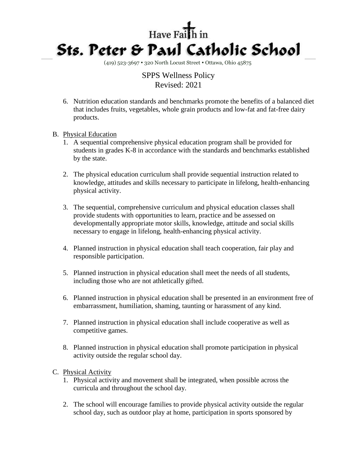

(419) 523-3697 • 320 North Locust Street • Ottawa, Ohio 45875

SPPS Wellness Policy Revised: 2021

- 6. Nutrition education standards and benchmarks promote the benefits of a balanced diet that includes fruits, vegetables, whole grain products and low-fat and fat-free dairy products.
- B. Physical Education
	- 1. A sequential comprehensive physical education program shall be provided for students in grades K-8 in accordance with the standards and benchmarks established by the state.
	- 2. The physical education curriculum shall provide sequential instruction related to knowledge, attitudes and skills necessary to participate in lifelong, health-enhancing physical activity.
	- 3. The sequential, comprehensive curriculum and physical education classes shall provide students with opportunities to learn, practice and be assessed on developmentally appropriate motor skills, knowledge, attitude and social skills necessary to engage in lifelong, health-enhancing physical activity.
	- 4. Planned instruction in physical education shall teach cooperation, fair play and responsible participation.
	- 5. Planned instruction in physical education shall meet the needs of all students, including those who are not athletically gifted.
	- 6. Planned instruction in physical education shall be presented in an environment free of embarrassment, humiliation, shaming, taunting or harassment of any kind.
	- 7. Planned instruction in physical education shall include cooperative as well as competitive games.
	- 8. Planned instruction in physical education shall promote participation in physical activity outside the regular school day.
- C. Physical Activity
	- 1. Physical activity and movement shall be integrated, when possible across the curricula and throughout the school day.
	- 2. The school will encourage families to provide physical activity outside the regular school day, such as outdoor play at home, participation in sports sponsored by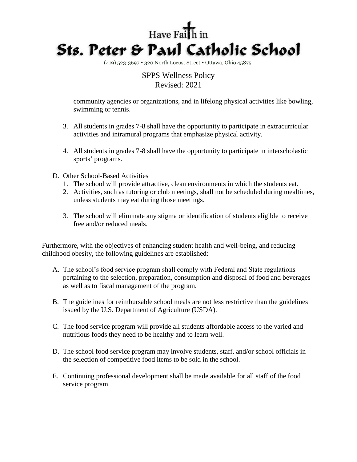

(419) 523-3697 • 320 North Locust Street • Ottawa, Ohio 45875

## SPPS Wellness Policy Revised: 2021

community agencies or organizations, and in lifelong physical activities like bowling, swimming or tennis.

- 3. All students in grades 7-8 shall have the opportunity to participate in extracurricular activities and intramural programs that emphasize physical activity.
- 4. All students in grades 7-8 shall have the opportunity to participate in interscholastic sports' programs.
- D. Other School-Based Activities
	- 1. The school will provide attractive, clean environments in which the students eat.
	- 2. Activities, such as tutoring or club meetings, shall not be scheduled during mealtimes, unless students may eat during those meetings.
	- 3. The school will eliminate any stigma or identification of students eligible to receive free and/or reduced meals.

Furthermore, with the objectives of enhancing student health and well-being, and reducing childhood obesity, the following guidelines are established:

- A. The school's food service program shall comply with Federal and State regulations pertaining to the selection, preparation, consumption and disposal of food and beverages as well as to fiscal management of the program.
- B. The guidelines for reimbursable school meals are not less restrictive than the guidelines issued by the U.S. Department of Agriculture (USDA).
- C. The food service program will provide all students affordable access to the varied and nutritious foods they need to be healthy and to learn well.
- D. The school food service program may involve students, staff, and/or school officials in the selection of competitive food items to be sold in the school.
- E. Continuing professional development shall be made available for all staff of the food service program.